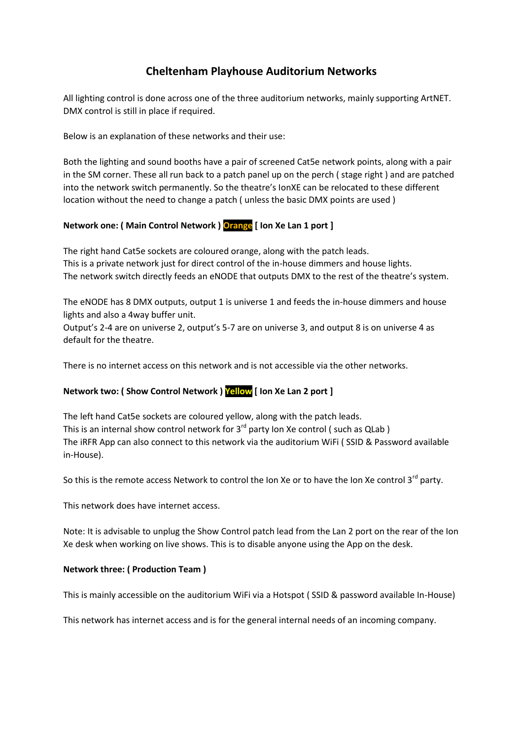# **Cheltenham Playhouse Auditorium Networks**

All lighting control is done across one of the three auditorium networks, mainly supporting ArtNET. DMX control is still in place if required.

Below is an explanation of these networks and their use:

Both the lighting and sound booths have a pair of screened Cat5e network points, along with a pair in the SM corner. These all run back to a patch panel up on the perch ( stage right ) and are patched into the network switch permanently. So the theatre's IonXE can be relocated to these different location without the need to change a patch ( unless the basic DMX points are used )

### **Network one: ( Main Control Network ) Orange [ Ion Xe Lan 1 port ]**

The right hand Cat5e sockets are coloured orange, along with the patch leads. This is a private network just for direct control of the in-house dimmers and house lights. The network switch directly feeds an eNODE that outputs DMX to the rest of the theatre's system.

The eNODE has 8 DMX outputs, output 1 is universe 1 and feeds the in-house dimmers and house lights and also a 4way buffer unit.

Output's 2-4 are on universe 2, output's 5-7 are on universe 3, and output 8 is on universe 4 as default for the theatre.

There is no internet access on this network and is not accessible via the other networks.

### **Network two: ( Show Control Network ) Yellow [ Ion Xe Lan 2 port ]**

The left hand Cat5e sockets are coloured yellow, along with the patch leads. This is an internal show control network for  $3^{rd}$  party Ion Xe control ( such as QLab ) The iRFR App can also connect to this network via the auditorium WiFi ( SSID & Password available in-House).

So this is the remote access Network to control the Ion Xe or to have the Ion Xe control 3 $^{\text{rd}}$  party.

This network does have internet access.

Note: It is advisable to unplug the Show Control patch lead from the Lan 2 port on the rear of the Ion Xe desk when working on live shows. This is to disable anyone using the App on the desk.

### **Network three: ( Production Team )**

This is mainly accessible on the auditorium WiFi via a Hotspot ( SSID & password available In-House)

This network has internet access and is for the general internal needs of an incoming company.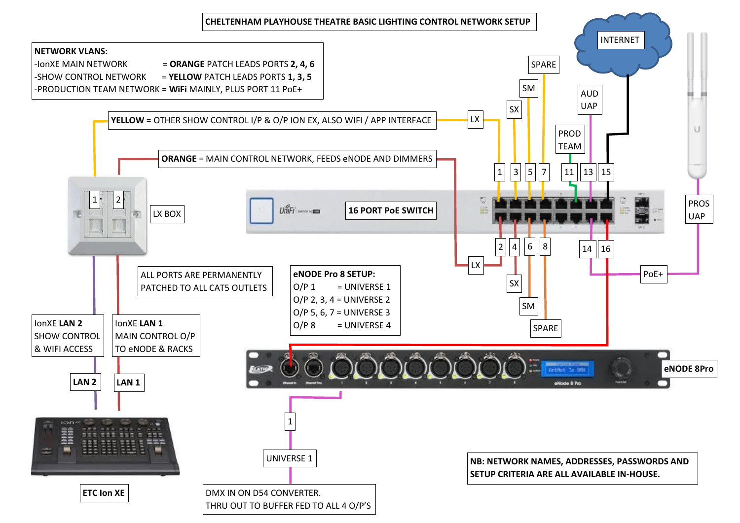